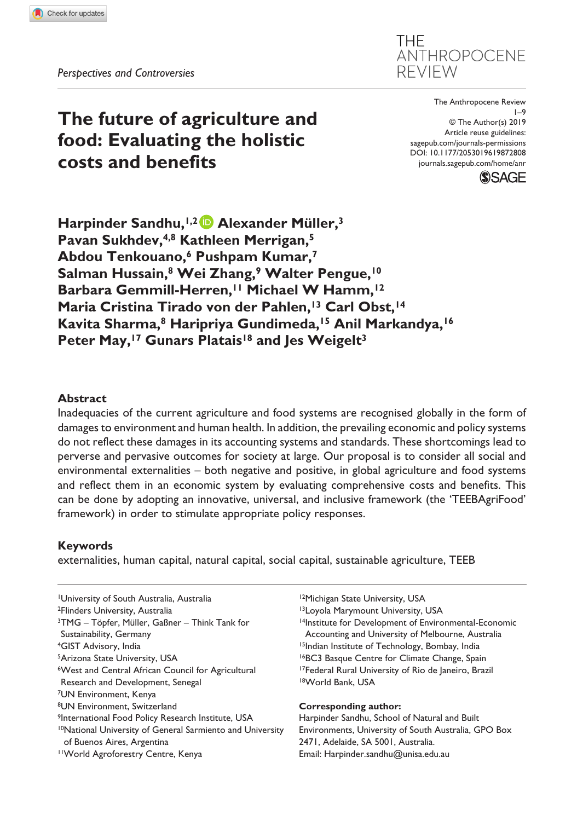**THF** ANTHROPOCENE **REVIEW** 

# **The future of agriculture and food: Evaluating the holistic costs and benefits**

DOI: 10.1177/2053019619872808 The Anthropocene Review 1–9 © The Author(s) 2019 Article reuse guidelines: [sagepub.com/journals-permissions](https://uk.sagepub.com/en-gb/journals-permissions) [journals.sagepub.com/home/anr](https://journals.sagepub.com/home/anr)



Harpinder Sandhu,<sup>1,2</sup> Alexander Müller,<sup>3</sup> **Pavan Sukhdev,4,8 Kathleen Merrigan,5 Abdou Tenkouano,6 Pushpam Kumar,7 Salman Hussain,8 Wei Zhang,9 Walter Pengue,10 Barbara Gemmill-Herren,11 Michael W Hamm,12** Maria Cristina Tirado von der Pahlen,<sup>13</sup> Carl Obst,<sup>14</sup> **Kavita Sharma,8 Haripriya Gundimeda,15 Anil Markandya,16** Peter May,<sup>17</sup> Gunars Platais<sup>18</sup> and Jes Weigelt<sup>3</sup>

## **Abstract**

Inadequacies of the current agriculture and food systems are recognised globally in the form of damages to environment and human health. In addition, the prevailing economic and policy systems do not reflect these damages in its accounting systems and standards. These shortcomings lead to perverse and pervasive outcomes for society at large. Our proposal is to consider all social and environmental externalities – both negative and positive, in global agriculture and food systems and reflect them in an economic system by evaluating comprehensive costs and benefits. This can be done by adopting an innovative, universal, and inclusive framework (the 'TEEBAgriFood' framework) in order to stimulate appropriate policy responses.

# **Keywords**

externalities, human capital, natural capital, social capital, sustainable agriculture, TEEB

1University of South Australia, Australia 2Flinders University, Australia 3TMG – Töpfer, Müller, Gaßner – Think Tank for Sustainability, Germany 4GIST Advisory, India 5Arizona State University, USA 6West and Central African Council for Agricultural Research and Development, Senegal 7UN Environment, Kenya 8UN Environment, Switzerland <sup>9</sup>International Food Policy Research Institute, USA 10National University of General Sarmiento and University of Buenos Aires, Argentina 11World Agroforestry Centre, Kenya

<sup>12</sup>Michigan State University, USA

13Loyola Marymount University, USA

14Institute for Development of Environmental-Economic Accounting and University of Melbourne, Australia 15Indian Institute of Technology, Bombay, India 16BC3 Basque Centre for Climate Change, Spain 17Federal Rural University of Rio de Janeiro, Brazil 18World Bank, USA

#### **Corresponding author:**

Harpinder Sandhu, School of Natural and Built Environments, University of South Australia, GPO Box 2471, Adelaide, SA 5001, Australia. Email: [Harpinder.sandhu@unisa.edu.au](mailto:Harpinder.sandhu@unisa.edu.au)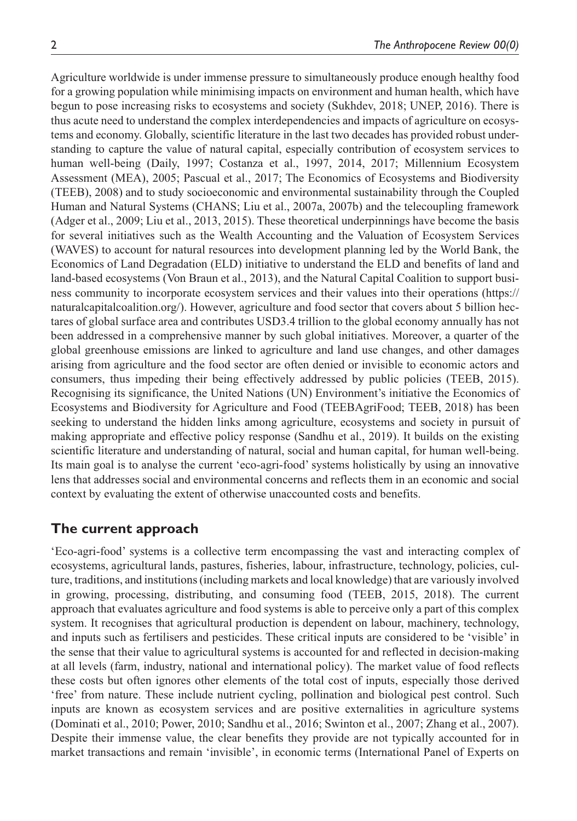Agriculture worldwide is under immense pressure to simultaneously produce enough healthy food for a growing population while minimising impacts on environment and human health, which have begun to pose increasing risks to ecosystems and society (Sukhdev, 2018; UNEP, 2016). There is thus acute need to understand the complex interdependencies and impacts of agriculture on ecosystems and economy. Globally, scientific literature in the last two decades has provided robust understanding to capture the value of natural capital, especially contribution of ecosystem services to human well-being (Daily, 1997; Costanza et al., 1997, 2014, 2017; Millennium Ecosystem Assessment (MEA), 2005; Pascual et al., 2017; The Economics of Ecosystems and Biodiversity (TEEB), 2008) and to study socioeconomic and environmental sustainability through the Coupled Human and Natural Systems (CHANS; Liu et al., 2007a, 2007b) and the telecoupling framework (Adger et al., 2009; Liu et al., 2013, 2015). These theoretical underpinnings have become the basis for several initiatives such as the Wealth Accounting and the Valuation of Ecosystem Services (WAVES) to account for natural resources into development planning led by the World Bank, the Economics of Land Degradation (ELD) initiative to understand the ELD and benefits of land and land-based ecosystems (Von Braun et al., 2013), and the Natural Capital Coalition to support business community to incorporate ecosystem services and their values into their operations ([https://](https://naturalcapitalcoalition.org/) [naturalcapitalcoalition.org/](https://naturalcapitalcoalition.org/)). However, agriculture and food sector that covers about 5 billion hectares of global surface area and contributes USD3.4 trillion to the global economy annually has not been addressed in a comprehensive manner by such global initiatives. Moreover, a quarter of the global greenhouse emissions are linked to agriculture and land use changes, and other damages arising from agriculture and the food sector are often denied or invisible to economic actors and consumers, thus impeding their being effectively addressed by public policies (TEEB, 2015). Recognising its significance, the United Nations (UN) Environment's initiative the Economics of Ecosystems and Biodiversity for Agriculture and Food (TEEBAgriFood; TEEB, 2018) has been seeking to understand the hidden links among agriculture, ecosystems and society in pursuit of making appropriate and effective policy response (Sandhu et al., 2019). It builds on the existing scientific literature and understanding of natural, social and human capital, for human well-being. Its main goal is to analyse the current 'eco-agri-food' systems holistically by using an innovative lens that addresses social and environmental concerns and reflects them in an economic and social context by evaluating the extent of otherwise unaccounted costs and benefits.

# **The current approach**

'Eco-agri-food' systems is a collective term encompassing the vast and interacting complex of ecosystems, agricultural lands, pastures, fisheries, labour, infrastructure, technology, policies, culture, traditions, and institutions (including markets and local knowledge) that are variously involved in growing, processing, distributing, and consuming food (TEEB, 2015, 2018). The current approach that evaluates agriculture and food systems is able to perceive only a part of this complex system. It recognises that agricultural production is dependent on labour, machinery, technology, and inputs such as fertilisers and pesticides. These critical inputs are considered to be 'visible' in the sense that their value to agricultural systems is accounted for and reflected in decision-making at all levels (farm, industry, national and international policy). The market value of food reflects these costs but often ignores other elements of the total cost of inputs, especially those derived 'free' from nature. These include nutrient cycling, pollination and biological pest control. Such inputs are known as ecosystem services and are positive externalities in agriculture systems (Dominati et al., 2010; Power, 2010; Sandhu et al., 2016; Swinton et al., 2007; Zhang et al., 2007). Despite their immense value, the clear benefits they provide are not typically accounted for in market transactions and remain 'invisible', in economic terms (International Panel of Experts on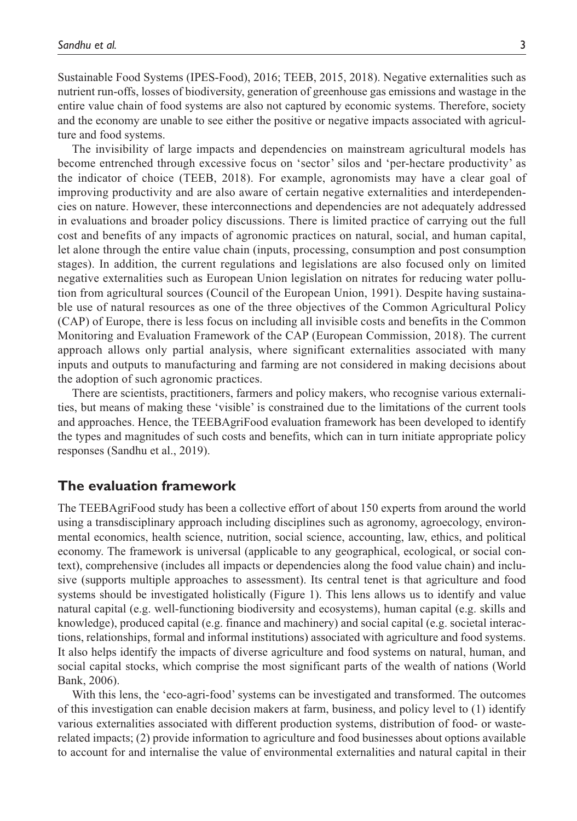Sustainable Food Systems (IPES-Food), 2016; TEEB, 2015, 2018). Negative externalities such as nutrient run-offs, losses of biodiversity, generation of greenhouse gas emissions and wastage in the entire value chain of food systems are also not captured by economic systems. Therefore, society and the economy are unable to see either the positive or negative impacts associated with agriculture and food systems.

The invisibility of large impacts and dependencies on mainstream agricultural models has become entrenched through excessive focus on 'sector' silos and 'per-hectare productivity' as the indicator of choice (TEEB, 2018). For example, agronomists may have a clear goal of improving productivity and are also aware of certain negative externalities and interdependencies on nature. However, these interconnections and dependencies are not adequately addressed in evaluations and broader policy discussions. There is limited practice of carrying out the full cost and benefits of any impacts of agronomic practices on natural, social, and human capital, let alone through the entire value chain (inputs, processing, consumption and post consumption stages). In addition, the current regulations and legislations are also focused only on limited negative externalities such as European Union legislation on nitrates for reducing water pollution from agricultural sources (Council of the European Union, 1991). Despite having sustainable use of natural resources as one of the three objectives of the Common Agricultural Policy (CAP) of Europe, there is less focus on including all invisible costs and benefits in the Common Monitoring and Evaluation Framework of the CAP (European Commission, 2018). The current approach allows only partial analysis, where significant externalities associated with many inputs and outputs to manufacturing and farming are not considered in making decisions about the adoption of such agronomic practices.

There are scientists, practitioners, farmers and policy makers, who recognise various externalities, but means of making these 'visible' is constrained due to the limitations of the current tools and approaches. Hence, the TEEBAgriFood evaluation framework has been developed to identify the types and magnitudes of such costs and benefits, which can in turn initiate appropriate policy responses (Sandhu et al., 2019).

# **The evaluation framework**

The TEEBAgriFood study has been a collective effort of about 150 experts from around the world using a transdisciplinary approach including disciplines such as agronomy, agroecology, environmental economics, health science, nutrition, social science, accounting, law, ethics, and political economy. The framework is universal (applicable to any geographical, ecological, or social context), comprehensive (includes all impacts or dependencies along the food value chain) and inclusive (supports multiple approaches to assessment). Its central tenet is that agriculture and food systems should be investigated holistically (Figure 1). This lens allows us to identify and value natural capital (e.g. well-functioning biodiversity and ecosystems), human capital (e.g. skills and knowledge), produced capital (e.g. finance and machinery) and social capital (e.g. societal interactions, relationships, formal and informal institutions) associated with agriculture and food systems. It also helps identify the impacts of diverse agriculture and food systems on natural, human, and social capital stocks, which comprise the most significant parts of the wealth of nations (World Bank, 2006).

With this lens, the 'eco-agri-food' systems can be investigated and transformed. The outcomes of this investigation can enable decision makers at farm, business, and policy level to (1) identify various externalities associated with different production systems, distribution of food- or wasterelated impacts; (2) provide information to agriculture and food businesses about options available to account for and internalise the value of environmental externalities and natural capital in their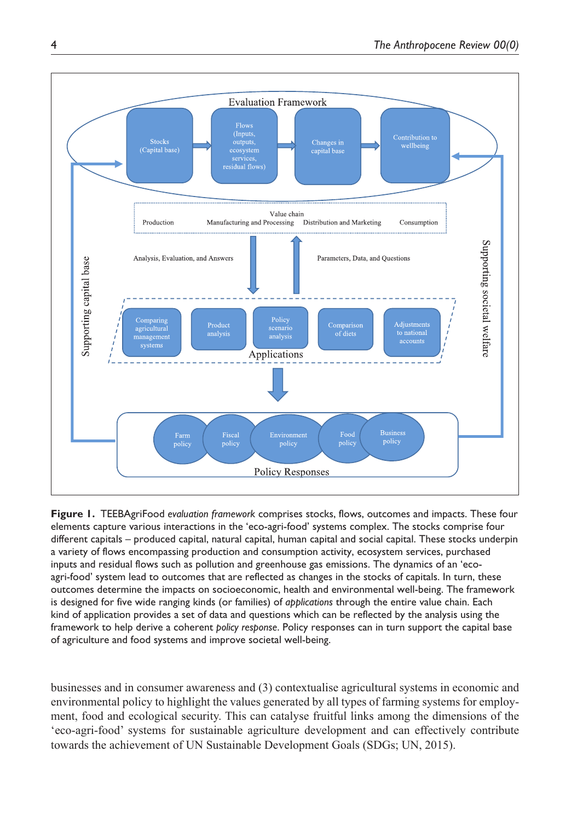

**Figure 1.** TEEBAgriFood *evaluation framework* comprises stocks, flows, outcomes and impacts. These four elements capture various interactions in the 'eco-agri-food' systems complex. The stocks comprise four different capitals – produced capital, natural capital, human capital and social capital. These stocks underpin a variety of flows encompassing production and consumption activity, ecosystem services, purchased inputs and residual flows such as pollution and greenhouse gas emissions. The dynamics of an 'ecoagri-food' system lead to outcomes that are reflected as changes in the stocks of capitals. In turn, these outcomes determine the impacts on socioeconomic, health and environmental well-being. The framework is designed for five wide ranging kinds (or families) of *applications* through the entire value chain. Each kind of application provides a set of data and questions which can be reflected by the analysis using the framework to help derive a coherent *policy response*. Policy responses can in turn support the capital base of agriculture and food systems and improve societal well-being.

businesses and in consumer awareness and (3) contextualise agricultural systems in economic and environmental policy to highlight the values generated by all types of farming systems for employment, food and ecological security. This can catalyse fruitful links among the dimensions of the 'eco-agri-food' systems for sustainable agriculture development and can effectively contribute towards the achievement of UN Sustainable Development Goals (SDGs; UN, 2015).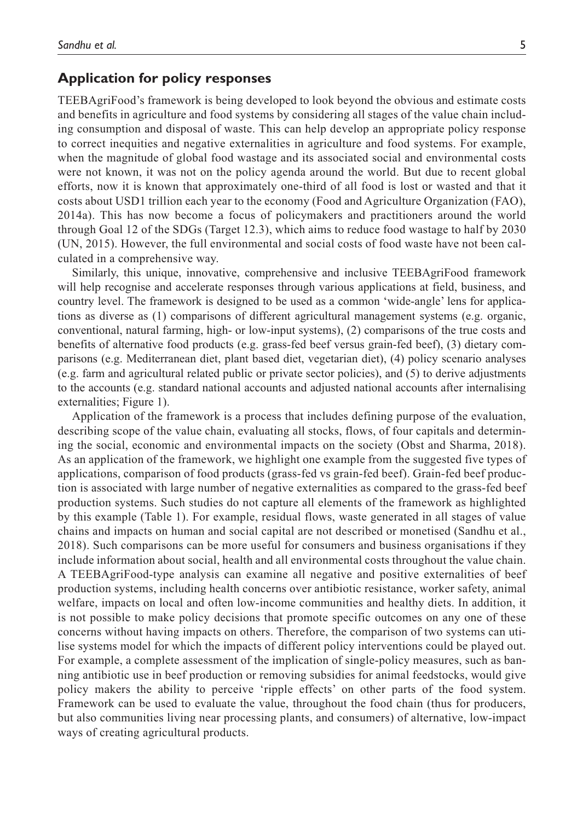# **Application for policy responses**

TEEBAgriFood's framework is being developed to look beyond the obvious and estimate costs and benefits in agriculture and food systems by considering all stages of the value chain including consumption and disposal of waste. This can help develop an appropriate policy response to correct inequities and negative externalities in agriculture and food systems. For example, when the magnitude of global food wastage and its associated social and environmental costs were not known, it was not on the policy agenda around the world. But due to recent global efforts, now it is known that approximately one-third of all food is lost or wasted and that it costs about USD1 trillion each year to the economy (Food and Agriculture Organization (FAO), 2014a). This has now become a focus of policymakers and practitioners around the world through Goal 12 of the SDGs (Target 12.3), which aims to reduce food wastage to half by 2030 (UN, 2015). However, the full environmental and social costs of food waste have not been calculated in a comprehensive way.

Similarly, this unique, innovative, comprehensive and inclusive TEEBAgriFood framework will help recognise and accelerate responses through various applications at field, business, and country level. The framework is designed to be used as a common 'wide-angle' lens for applications as diverse as (1) comparisons of different agricultural management systems (e.g. organic, conventional, natural farming, high- or low-input systems), (2) comparisons of the true costs and benefits of alternative food products (e.g. grass-fed beef versus grain-fed beef), (3) dietary comparisons (e.g. Mediterranean diet, plant based diet, vegetarian diet), (4) policy scenario analyses (e.g. farm and agricultural related public or private sector policies), and (5) to derive adjustments to the accounts (e.g. standard national accounts and adjusted national accounts after internalising externalities; Figure 1).

Application of the framework is a process that includes defining purpose of the evaluation, describing scope of the value chain, evaluating all stocks, flows, of four capitals and determining the social, economic and environmental impacts on the society (Obst and Sharma, 2018). As an application of the framework, we highlight one example from the suggested five types of applications, comparison of food products (grass-fed vs grain-fed beef). Grain-fed beef production is associated with large number of negative externalities as compared to the grass-fed beef production systems. Such studies do not capture all elements of the framework as highlighted by this example (Table 1). For example, residual flows, waste generated in all stages of value chains and impacts on human and social capital are not described or monetised (Sandhu et al., 2018). Such comparisons can be more useful for consumers and business organisations if they include information about social, health and all environmental costs throughout the value chain. A TEEBAgriFood-type analysis can examine all negative and positive externalities of beef production systems, including health concerns over antibiotic resistance, worker safety, animal welfare, impacts on local and often low-income communities and healthy diets. In addition, it is not possible to make policy decisions that promote specific outcomes on any one of these concerns without having impacts on others. Therefore, the comparison of two systems can utilise systems model for which the impacts of different policy interventions could be played out. For example, a complete assessment of the implication of single-policy measures, such as banning antibiotic use in beef production or removing subsidies for animal feedstocks, would give policy makers the ability to perceive 'ripple effects' on other parts of the food system. Framework can be used to evaluate the value, throughout the food chain (thus for producers, but also communities living near processing plants, and consumers) of alternative, low-impact ways of creating agricultural products.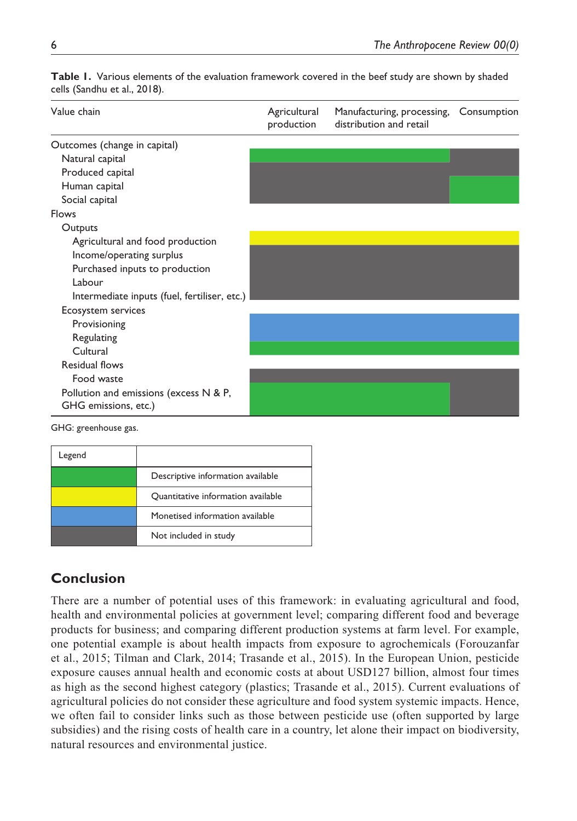| Value chain                                  | Agricultural<br>production | Manufacturing, processing, Consumption<br>distribution and retail |  |
|----------------------------------------------|----------------------------|-------------------------------------------------------------------|--|
| Outcomes (change in capital)                 |                            |                                                                   |  |
| Natural capital                              |                            |                                                                   |  |
| Produced capital                             |                            |                                                                   |  |
| Human capital                                |                            |                                                                   |  |
| Social capital                               |                            |                                                                   |  |
| Flows                                        |                            |                                                                   |  |
| Outputs                                      |                            |                                                                   |  |
| Agricultural and food production             |                            |                                                                   |  |
| Income/operating surplus                     |                            |                                                                   |  |
| Purchased inputs to production               |                            |                                                                   |  |
| Labour                                       |                            |                                                                   |  |
| Intermediate inputs (fuel, fertiliser, etc.) |                            |                                                                   |  |
| Ecosystem services                           |                            |                                                                   |  |
| Provisioning                                 |                            |                                                                   |  |
| Regulating                                   |                            |                                                                   |  |
| Cultural                                     |                            |                                                                   |  |
| Residual flows                               |                            |                                                                   |  |
| Food waste                                   |                            |                                                                   |  |
| Pollution and emissions (excess N & P,       |                            |                                                                   |  |
| GHG emissions, etc.)                         |                            |                                                                   |  |
| CUC: graph gives                             |                            |                                                                   |  |

**Table 1.** Various elements of the evaluation framework covered in the beef study are shown by shaded cells (Sandhu et al., 2018).

GHG: greenhouse gas.

| Legend |                                    |
|--------|------------------------------------|
|        | Descriptive information available  |
|        | Quantitative information available |
|        | Monetised information available    |
|        | Not included in study              |

# **Conclusion**

There are a number of potential uses of this framework: in evaluating agricultural and food, health and environmental policies at government level; comparing different food and beverage products for business; and comparing different production systems at farm level. For example, one potential example is about health impacts from exposure to agrochemicals (Forouzanfar et al., 2015; Tilman and Clark, 2014; Trasande et al., 2015). In the European Union, pesticide exposure causes annual health and economic costs at about USD127 billion, almost four times as high as the second highest category (plastics; Trasande et al., 2015). Current evaluations of agricultural policies do not consider these agriculture and food system systemic impacts. Hence, we often fail to consider links such as those between pesticide use (often supported by large subsidies) and the rising costs of health care in a country, let alone their impact on biodiversity, natural resources and environmental justice.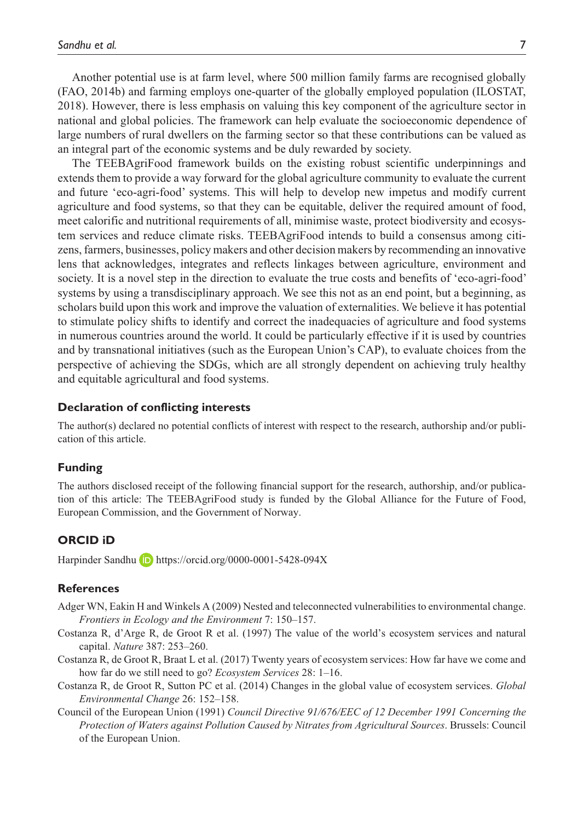Another potential use is at farm level, where 500 million family farms are recognised globally (FAO, 2014b) and farming employs one-quarter of the globally employed population (ILOSTAT, 2018). However, there is less emphasis on valuing this key component of the agriculture sector in national and global policies. The framework can help evaluate the socioeconomic dependence of large numbers of rural dwellers on the farming sector so that these contributions can be valued as an integral part of the economic systems and be duly rewarded by society.

The TEEBAgriFood framework builds on the existing robust scientific underpinnings and extends them to provide a way forward for the global agriculture community to evaluate the current and future 'eco-agri-food' systems. This will help to develop new impetus and modify current agriculture and food systems, so that they can be equitable, deliver the required amount of food, meet calorific and nutritional requirements of all, minimise waste, protect biodiversity and ecosystem services and reduce climate risks. TEEBAgriFood intends to build a consensus among citizens, farmers, businesses, policy makers and other decision makers by recommending an innovative lens that acknowledges, integrates and reflects linkages between agriculture, environment and society. It is a novel step in the direction to evaluate the true costs and benefits of 'eco-agri-food' systems by using a transdisciplinary approach. We see this not as an end point, but a beginning, as scholars build upon this work and improve the valuation of externalities. We believe it has potential to stimulate policy shifts to identify and correct the inadequacies of agriculture and food systems in numerous countries around the world. It could be particularly effective if it is used by countries and by transnational initiatives (such as the European Union's CAP), to evaluate choices from the perspective of achieving the SDGs, which are all strongly dependent on achieving truly healthy and equitable agricultural and food systems.

#### **Declaration of conflicting interests**

The author(s) declared no potential conflicts of interest with respect to the research, authorship and/or publication of this article.

#### **Funding**

The authors disclosed receipt of the following financial support for the research, authorship, and/or publication of this article: The TEEBAgriFood study is funded by the Global Alliance for the Future of Food, European Commission, and the Government of Norway.

### **ORCID iD**

Harpinder Sandhu **D** <https://orcid.org/0000-0001-5428-094X>

#### **References**

- Adger WN, Eakin H and Winkels A (2009) Nested and teleconnected vulnerabilities to environmental change. *Frontiers in Ecology and the Environment* 7: 150–157.
- Costanza R, d'Arge R, de Groot R et al. (1997) The value of the world's ecosystem services and natural capital. *Nature* 387: 253–260.
- Costanza R, de Groot R, Braat L et al. (2017) Twenty years of ecosystem services: How far have we come and how far do we still need to go? *Ecosystem Services* 28: 1–16.
- Costanza R, de Groot R, Sutton PC et al. (2014) Changes in the global value of ecosystem services. *Global Environmental Change* 26: 152–158.
- Council of the European Union (1991) *Council Directive 91/676/EEC of 12 December 1991 Concerning the Protection of Waters against Pollution Caused by Nitrates from Agricultural Sources*. Brussels: Council of the European Union.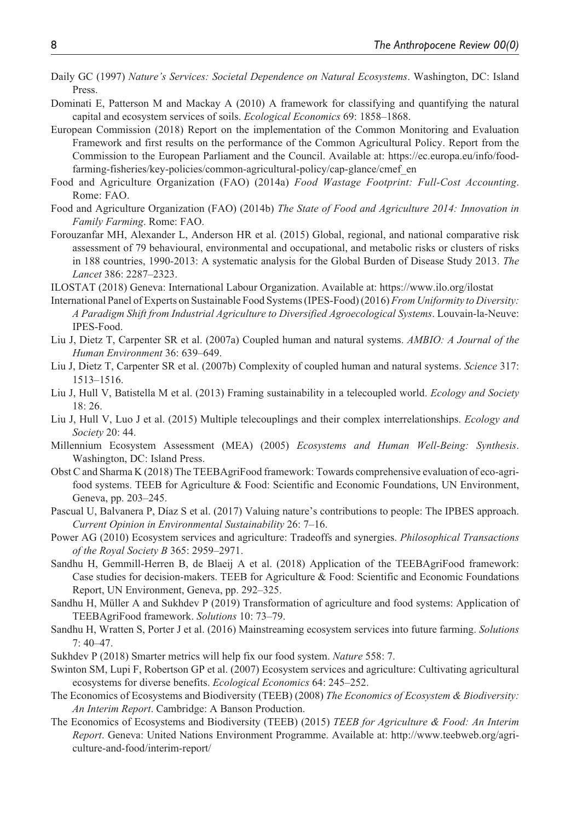- Daily GC (1997) *Nature's Services: Societal Dependence on Natural Ecosystems*. Washington, DC: Island Press.
- Dominati E, Patterson M and Mackay A (2010) A framework for classifying and quantifying the natural capital and ecosystem services of soils. *Ecological Economics* 69: 1858–1868.
- European Commission (2018) Report on the implementation of the Common Monitoring and Evaluation Framework and first results on the performance of the Common Agricultural Policy. Report from the Commission to the European Parliament and the Council. Available at: [https://ec.europa.eu/info/food](https://ec.europa.eu/info/food-farming-fisheries/key-policies/common-agricultural-policy/cap-glance/cmef_en)[farming-fisheries/key-policies/common-agricultural-policy/cap-glance/cmef\\_en](https://ec.europa.eu/info/food-farming-fisheries/key-policies/common-agricultural-policy/cap-glance/cmef_en)
- Food and Agriculture Organization (FAO) (2014a) *Food Wastage Footprint: Full-Cost Accounting*. Rome: FAO.
- Food and Agriculture Organization (FAO) (2014b) *The State of Food and Agriculture 2014: Innovation in Family Farming*. Rome: FAO.
- Forouzanfar MH, Alexander L, Anderson HR et al. (2015) Global, regional, and national comparative risk assessment of 79 behavioural, environmental and occupational, and metabolic risks or clusters of risks in 188 countries, 1990-2013: A systematic analysis for the Global Burden of Disease Study 2013. *The Lancet* 386: 2287–2323.
- ILOSTAT (2018) Geneva: International Labour Organization. Available at:<https://www.ilo.org/ilostat>
- International Panel of Experts on Sustainable Food Systems (IPES-Food) (2016) *From Uniformity to Diversity: A Paradigm Shift from Industrial Agriculture to Diversified Agroecological Systems*. Louvain-la-Neuve: IPES-Food.
- Liu J, Dietz T, Carpenter SR et al. (2007a) Coupled human and natural systems. *AMBIO: A Journal of the Human Environment* 36: 639–649.
- Liu J, Dietz T, Carpenter SR et al. (2007b) Complexity of coupled human and natural systems. *Science* 317: 1513–1516.
- Liu J, Hull V, Batistella M et al. (2013) Framing sustainability in a telecoupled world. *Ecology and Society* 18: 26.
- Liu J, Hull V, Luo J et al. (2015) Multiple telecouplings and their complex interrelationships. *Ecology and Society* 20: 44.
- Millennium Ecosystem Assessment (MEA) (2005) *Ecosystems and Human Well-Being: Synthesis*. Washington, DC: Island Press.
- Obst C and Sharma K (2018) The TEEBAgriFood framework: Towards comprehensive evaluation of eco-agrifood systems. TEEB for Agriculture & Food: Scientific and Economic Foundations, UN Environment, Geneva, pp. 203–245.
- Pascual U, Balvanera P, Díaz S et al. (2017) Valuing nature's contributions to people: The IPBES approach. *Current Opinion in Environmental Sustainability* 26: 7–16.
- Power AG (2010) Ecosystem services and agriculture: Tradeoffs and synergies. *Philosophical Transactions of the Royal Society B* 365: 2959–2971.
- Sandhu H, Gemmill-Herren B, de Blaeij A et al. (2018) Application of the TEEBAgriFood framework: Case studies for decision-makers. TEEB for Agriculture & Food: Scientific and Economic Foundations Report, UN Environment, Geneva, pp. 292–325.
- Sandhu H, Müller A and Sukhdev P (2019) Transformation of agriculture and food systems: Application of TEEBAgriFood framework. *Solutions* 10: 73–79.
- Sandhu H, Wratten S, Porter J et al. (2016) Mainstreaming ecosystem services into future farming. *Solutions* 7: 40–47.
- Sukhdev P (2018) Smarter metrics will help fix our food system. *Nature* 558: 7.
- Swinton SM, Lupi F, Robertson GP et al. (2007) Ecosystem services and agriculture: Cultivating agricultural ecosystems for diverse benefits. *Ecological Economics* 64: 245–252.
- The Economics of Ecosystems and Biodiversity (TEEB) (2008) *The Economics of Ecosystem & Biodiversity: An Interim Report*. Cambridge: A Banson Production.
- The Economics of Ecosystems and Biodiversity (TEEB) (2015) *TEEB for Agriculture & Food: An Interim Report*. Geneva: United Nations Environment Programme. Available at: [http://www.teebweb.org/agri](http://www.teebweb.org/agriculture-and-food/interim-report/)[culture-and-food/interim-report/](http://www.teebweb.org/agriculture-and-food/interim-report/)